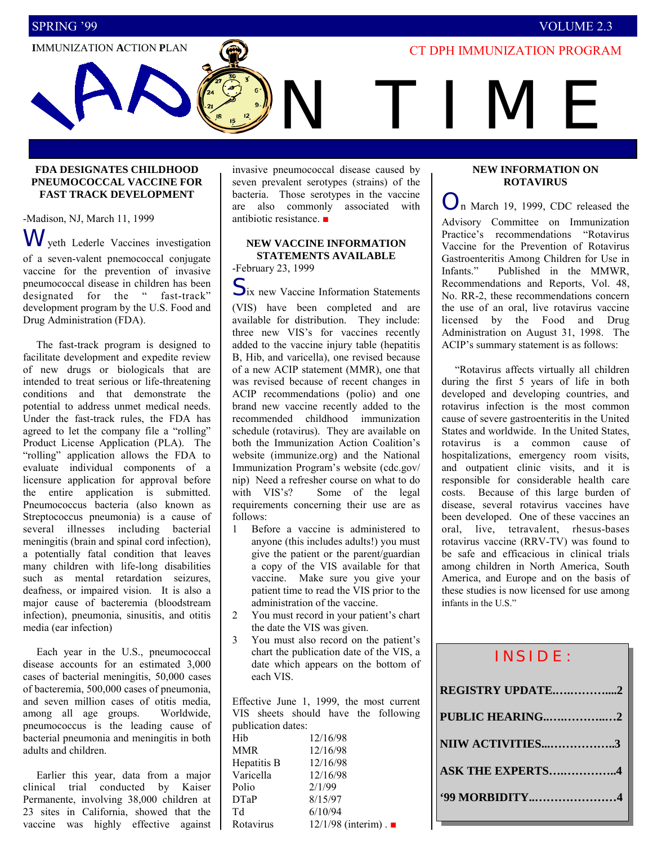## SPRING í99 VOLUME 2.3

# **IMMUNIZATION ACTION PLAN IMMUNIZATION PROGRAM**

I I M F

#### **FDA DESIGNATES CHILDHOOD PNEUMOCOCCAL VACCINE FOR FAST TRACK DEVELOPMENT**

-Madison, NJ, March 11, 1999 W yeth Lederle Vaccines investigation of a seven-valent pnemococcal conjugate vaccine for the prevention of invasive pneumococcal disease in children has been designated for the "fast-track" development program by the U.S. Food and Drug Administration (FDA).

 The fast-track program is designed to facilitate development and expedite review of new drugs or biologicals that are intended to treat serious or life-threatening conditions and that demonstrate the potential to address unmet medical needs. Under the fast-track rules, the FDA has agreed to let the company file a "rolling" Product License Application (PLA). The "rolling" application allows the FDA to evaluate individual components of a licensure application for approval before the entire application is submitted. Pneumococcus bacteria (also known as Streptococcus pneumonia) is a cause of several illnesses including bacterial meningitis (brain and spinal cord infection), a potentially fatal condition that leaves many children with life-long disabilities such as mental retardation seizures, deafness, or impaired vision. It is also a major cause of bacteremia (bloodstream infection), pneumonia, sinusitis, and otitis media (ear infection)

 Each year in the U.S., pneumococcal disease accounts for an estimated 3,000 cases of bacterial meningitis, 50,000 cases of bacteremia, 500,000 cases of pneumonia, and seven million cases of otitis media, among all age groups. Worldwide, pneumococcus is the leading cause of bacterial pneumonia and meningitis in both adults and children.

 Earlier this year, data from a major clinical trial conducted by Kaiser Permanente, involving 38,000 children at 23 sites in California, showed that the vaccine was highly effective against F

invasive pneumococcal disease caused by seven prevalent serotypes (strains) of the bacteria. Those serotypes in the vaccine are also commonly associated with antibiotic resistance. ■

#### **NEW VACCINE INFORMATION STATEMENTS AVAILABLE**  -February 23, 1999

 $S_{ix}$  new Vaccine Information Statements

(VIS) have been completed and are available for distribution. They include: three new VIS's for vaccines recently added to the vaccine injury table (hepatitis B, Hib, and varicella), one revised because of a new ACIP statement (MMR), one that was revised because of recent changes in ACIP recommendations (polio) and one brand new vaccine recently added to the recommended childhood immunization schedule (rotavirus). They are available on both the Immunization Action Coalition's website (immunize.org) and the National Immunization Program's website (cdc.gov/ nip) Need a refresher course on what to do with VIS's? Some of the legal requirements concerning their use are as follows:

- 1 Before a vaccine is administered to anyone (this includes adults!) you must give the patient or the parent/guardian a copy of the VIS available for that vaccine. Make sure you give your patient time to read the VIS prior to the administration of the vaccine.
- 2 You must record in your patient's chart the date the VIS was given.
- 3 You must also record on the patient's chart the publication date of the VIS, a date which appears on the bottom of each VIS.

Effective June 1, 1999, the most current VIS sheets should have the following publication dates:

| Hib         | 12/16/98               |  |
|-------------|------------------------|--|
| MMR         | 12/16/98               |  |
| Hepatitis B | 12/16/98               |  |
| Varicella   | 12/16/98               |  |
| Polio       | 2/1/99                 |  |
| DTaP        | 8/15/97                |  |
| Td          | 6/10/94                |  |
| Rotavirus   | $12/1/98$ (interim). ■ |  |

#### **NEW INFORMATION ON ROTAVIRUS**

On March 19, 1999, CDC released the Advisory Committee on Immunization Practice's recommendations "Rotavirus Vaccine for the Prevention of Rotavirus Gastroenteritis Among Children for Use in Infants." Published in the MMWR, Recommendations and Reports, Vol. 48, No. RR-2, these recommendations concern the use of an oral, live rotavirus vaccine licensed by the Food and Drug Administration on August 31, 1998. The ACIP's summary statement is as follows:

"Rotavirus affects virtually all children during the first 5 years of life in both developed and developing countries, and rotavirus infection is the most common cause of severe gastroenteritis in the United States and worldwide. In the United States, rotavirus is a common cause of hospitalizations, emergency room visits, and outpatient clinic visits, and it is responsible for considerable health care costs. Because of this large burden of disease, several rotavirus vaccines have been developed. One of these vaccines an oral, live, tetravalent, rhesus-bases rotavirus vaccine (RRV-TV) was found to be safe and efficacious in clinical trials among children in North America, South America, and Europe and on the basis of these studies is now licensed for use among infants in the U.S."

| <b>INSIDE:</b>          |  |  |
|-------------------------|--|--|
| REGISTRY UPDATE2        |  |  |
| PUBLIC HEARING2         |  |  |
| NIIW ACTIVITIES3        |  |  |
| <b>ASK THE EXPERTS4</b> |  |  |
|                         |  |  |
|                         |  |  |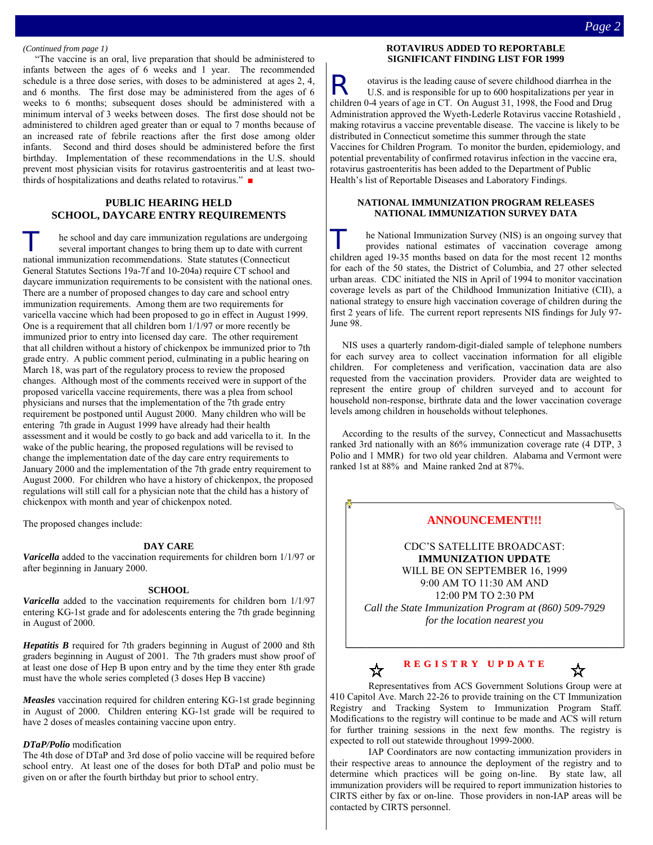#### *(Continued from page 1)*

 ìThe vaccine is an oral, live preparation that should be administered to infants between the ages of 6 weeks and 1 year. The recommended schedule is a three dose series, with doses to be administered at ages 2, 4, and 6 months. The first dose may be administered from the ages of 6 weeks to 6 months; subsequent doses should be administered with a minimum interval of 3 weeks between doses. The first dose should not be administered to children aged greater than or equal to 7 months because of an increased rate of febrile reactions after the first dose among older infants. Second and third doses should be administered before the first birthday. Implementation of these recommendations in the U.S. should prevent most physician visits for rotavirus gastroenteritis and at least twothirds of hospitalizations and deaths related to rotavirus."  $\blacksquare$ 

#### **PUBLIC HEARING HELD SCHOOL, DAYCARE ENTRY REQUIREMENTS**

he school and day care immunization regulations are undergoing several important changes to bring them up to date with current national immunization recommendations. State statutes (Connecticut General Statutes Sections 19a-7f and 10-204a) require CT school and daycare immunization requirements to be consistent with the national ones. There are a number of proposed changes to day care and school entry immunization requirements. Among them are two requirements for varicella vaccine which had been proposed to go in effect in August 1999. One is a requirement that all children born 1/1/97 or more recently be immunized prior to entry into licensed day care. The other requirement that all children without a history of chickenpox be immunized prior to 7th grade entry. A public comment period, culminating in a public hearing on March 18, was part of the regulatory process to review the proposed changes. Although most of the comments received were in support of the proposed varicella vaccine requirements, there was a plea from school physicians and nurses that the implementation of the 7th grade entry requirement be postponed until August 2000. Many children who will be entering 7th grade in August 1999 have already had their health assessment and it would be costly to go back and add varicella to it. In the wake of the public hearing, the proposed regulations will be revised to change the implementation date of the day care entry requirements to January 2000 and the implementation of the 7th grade entry requirement to August 2000. For children who have a history of chickenpox, the proposed regulations will still call for a physician note that the child has a history of chickenpox with month and year of chickenpox noted.

The proposed changes include:

#### **DAY CARE**

*Varicella* added to the vaccination requirements for children born 1/1/97 or after beginning in January 2000.

#### **SCHOOL**

*Varicella* added to the vaccination requirements for children born 1/1/97 entering KG-1st grade and for adolescents entering the 7th grade beginning in August of 2000.

*Hepatitis B* required for 7th graders beginning in August of 2000 and 8th graders beginning in August of 2001. The 7th graders must show proof of at least one dose of Hep B upon entry and by the time they enter 8th grade must have the whole series completed (3 doses Hep B vaccine)

*Measles* vaccination required for children entering KG-1st grade beginning in August of 2000. Children entering KG-1st grade will be required to have 2 doses of measles containing vaccine upon entry.

#### *DTaP/Polio* modification

The 4th dose of DTaP and 3rd dose of polio vaccine will be required before school entry. At least one of the doses for both DTaP and polio must be given on or after the fourth birthday but prior to school entry.

#### **ROTAVIRUS ADDED TO REPORTABLE SIGNIFICANT FINDING LIST FOR 1999**

otavirus is the leading cause of severe childhood diarrhea in the U.S. and is responsible for up to 600 hospitalizations per vear in U.S. and is responsible for up to 600 hospitalizations per year in children 0-4 years of age in CT. On August 31, 1998, the Food and Drug Administration approved the Wyeth-Lederle Rotavirus vaccine Rotashield , making rotavirus a vaccine preventable disease. The vaccine is likely to be distributed in Connecticut sometime this summer through the state Vaccines for Children Program. To monitor the burden, epidemiology, and potential preventability of confirmed rotavirus infection in the vaccine era, rotavirus gastroenteritis has been added to the Department of Public Health's list of Reportable Diseases and Laboratory Findings.

#### **NATIONAL IMMUNIZATION PROGRAM RELEASES NATIONAL IMMUNIZATION SURVEY DATA**

T he National Immunization Survey (NIS) is an ongoing survey that provides national estimates of vaccination coverage among children aged 19-35 months based on data for the most recent 12 months for each of the 50 states, the District of Columbia, and 27 other selected urban areas. CDC initiated the NIS in April of 1994 to monitor vaccination coverage levels as part of the Childhood Immunization Initiative (CII), a national strategy to ensure high vaccination coverage of children during the first 2 years of life. The current report represents NIS findings for July 97- June 98.

 NIS uses a quarterly random-digit-dialed sample of telephone numbers for each survey area to collect vaccination information for all eligible children. For completeness and verification, vaccination data are also requested from the vaccination providers. Provider data are weighted to represent the entire group of children surveyed and to account for household non-response, birthrate data and the lower vaccination coverage levels among children in households without telephones.

 According to the results of the survey, Connecticut and Massachusetts ranked 3rd nationally with an 86% immunization coverage rate (4 DTP, 3 Polio and 1 MMR) for two old year children. Alabama and Vermont were ranked 1st at 88% and Maine ranked 2nd at 87%.

### **ANNOUNCEMENT!!!**

CDC'S SATELLITE BROADCAST: **IMMUNIZATION UPDATE**  WILL BE ON SEPTEMBER 16, 1999 9:00 AM TO 11:30 AM AND 12:00 PM TO 2:30 PM *Call the State Immunization Program at (860) 509-7929 for the location nearest you* 

#### **REGIS TRY UPDATE** ☆

☆

Representatives from ACS Government Solutions Group were at 410 Capitol Ave. March 22-26 to provide training on the CT Immunization Registry and Tracking System to Immunization Program Staff. Modifications to the registry will continue to be made and ACS will return for further training sessions in the next few months. The registry is expected to roll out statewide throughout 1999-2000.

 IAP Coordinators are now contacting immunization providers in their respective areas to announce the deployment of the registry and to determine which practices will be going on-line. By state law, all immunization providers will be required to report immunization histories to CIRTS either by fax or on-line. Those providers in non-IAP areas will be contacted by CIRTS personnel.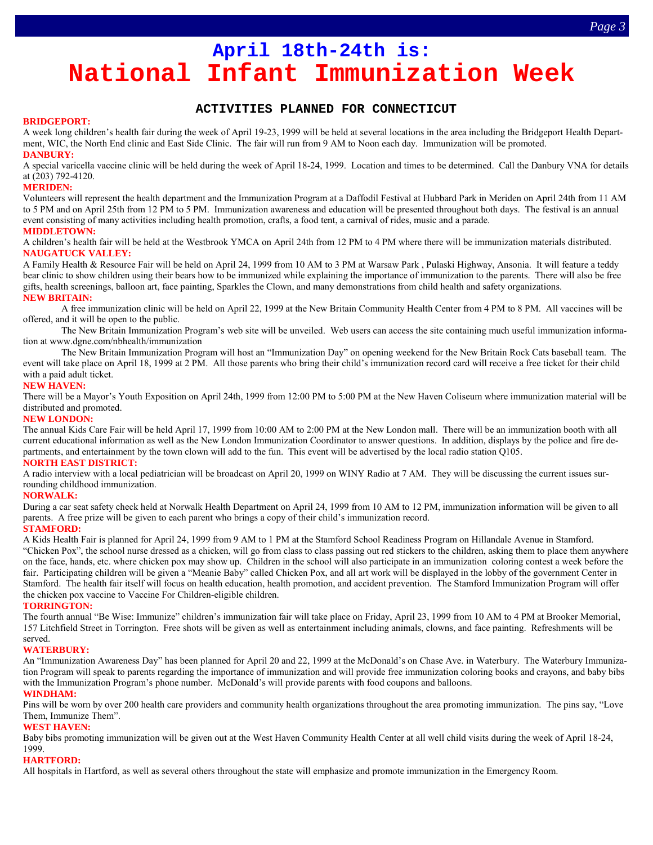# **April 18th-24th is: National Infant Immunization Week**

#### **ACTIVITIES PLANNED FOR CONNECTICUT**

#### **BRIDGEPORT:**

A week long children's health fair during the week of April 19-23, 1999 will be held at several locations in the area including the Bridgeport Health Department, WIC, the North End clinic and East Side Clinic. The fair will run from 9 AM to Noon each day. Immunization will be promoted. **DANBURY:** 

A special varicella vaccine clinic will be held during the week of April 18-24, 1999. Location and times to be determined. Call the Danbury VNA for details at (203) 792-4120.

#### **MERIDEN:**

Volunteers will represent the health department and the Immunization Program at a Daffodil Festival at Hubbard Park in Meriden on April 24th from 11 AM to 5 PM and on April 25th from 12 PM to 5 PM. Immunization awareness and education will be presented throughout both days. The festival is an annual event consisting of many activities including health promotion, crafts, a food tent, a carnival of rides, music and a parade. **MIDDLETOWN:**

A childrenís health fair will be held at the Westbrook YMCA on April 24th from 12 PM to 4 PM where there will be immunization materials distributed. **NAUGATUCK VALLEY:** 

A Family Health & Resource Fair will be held on April 24, 1999 from 10 AM to 3 PM at Warsaw Park , Pulaski Highway, Ansonia. It will feature a teddy bear clinic to show children using their bears how to be immunized while explaining the importance of immunization to the parents. There will also be free gifts, health screenings, balloon art, face painting, Sparkles the Clown, and many demonstrations from child health and safety organizations. **NEW BRITAIN:** 

 A free immunization clinic will be held on April 22, 1999 at the New Britain Community Health Center from 4 PM to 8 PM. All vaccines will be offered, and it will be open to the public.

The New Britain Immunization Program's web site will be unveiled. Web users can access the site containing much useful immunization information at www.dgne.com/nbhealth/immunization

The New Britain Immunization Program will host an "Immunization Day" on opening weekend for the New Britain Rock Cats baseball team. The event will take place on April 18, 1999 at 2 PM. All those parents who bring their child's immunization record card will receive a free ticket for their child with a paid adult ticket.

#### **NEW HAVEN:**

There will be a Mayor's Youth Exposition on April 24th, 1999 from 12:00 PM to 5:00 PM at the New Haven Coliseum where immunization material will be distributed and promoted.

#### **NEW LONDON:**

The annual Kids Care Fair will be held April 17, 1999 from 10:00 AM to 2:00 PM at the New London mall. There will be an immunization booth with all current educational information as well as the New London Immunization Coordinator to answer questions. In addition, displays by the police and fire departments, and entertainment by the town clown will add to the fun. This event will be advertised by the local radio station Q105.

#### **NORTH EAST DISTRICT:**

A radio interview with a local pediatrician will be broadcast on April 20, 1999 on WINY Radio at 7 AM. They will be discussing the current issues surrounding childhood immunization.

#### **NORWALK:**

During a car seat safety check held at Norwalk Health Department on April 24, 1999 from 10 AM to 12 PM, immunization information will be given to all parents. A free prize will be given to each parent who brings a copy of their child's immunization record.

#### **STAMFORD:**

A Kids Health Fair is planned for April 24, 1999 from 9 AM to 1 PM at the Stamford School Readiness Program on Hillandale Avenue in Stamford.

ìChicken Poxî, the school nurse dressed as a chicken, will go from class to class passing out red stickers to the children, asking them to place them anywhere on the face, hands, etc. where chicken pox may show up. Children in the school will also participate in an immunization coloring contest a week before the fair. Participating children will be given a "Meanie Baby" called Chicken Pox, and all art work will be displayed in the lobby of the government Center in Stamford. The health fair itself will focus on health education, health promotion, and accident prevention. The Stamford Immunization Program will offer the chicken pox vaccine to Vaccine For Children-eligible children.

#### **TORRINGTON:**

The fourth annual "Be Wise: Immunize" children's immunization fair will take place on Friday, April 23, 1999 from 10 AM to 4 PM at Brooker Memorial, 157 Litchfield Street in Torrington. Free shots will be given as well as entertainment including animals, clowns, and face painting. Refreshments will be served.

#### **WATERBURY:**

An "Immunization Awareness Day" has been planned for April 20 and 22, 1999 at the McDonald's on Chase Ave. in Waterbury. The Waterbury Immunization Program will speak to parents regarding the importance of immunization and will provide free immunization coloring books and crayons, and baby bibs with the Immunization Program's phone number. McDonald's will provide parents with food coupons and balloons.

#### **WINDHAM:**

Pins will be worn by over 200 health care providers and community health organizations throughout the area promoting immunization. The pins say, "Love Them, Immunize Them".

#### **WEST HAVEN:**

Baby bibs promoting immunization will be given out at the West Haven Community Health Center at all well child visits during the week of April 18-24, 1999.

#### **HARTFORD:**

All hospitals in Hartford, as well as several others throughout the state will emphasize and promote immunization in the Emergency Room.